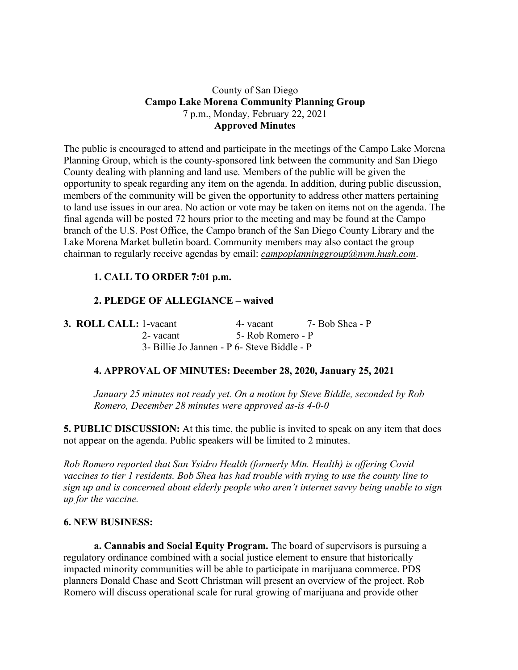## County of San Diego **Campo Lake Morena Community Planning Group** 7 p.m., Monday, February 22, 2021 **Approved Minutes**

The public is encouraged to attend and participate in the meetings of the Campo Lake Morena Planning Group, which is the county-sponsored link between the community and San Diego County dealing with planning and land use. Members of the public will be given the opportunity to speak regarding any item on the agenda. In addition, during public discussion, members of the community will be given the opportunity to address other matters pertaining to land use issues in our area. No action or vote may be taken on items not on the agenda. The final agenda will be posted 72 hours prior to the meeting and may be found at the Campo branch of the U.S. Post Office, the Campo branch of the San Diego County Library and the Lake Morena Market bulletin board. Community members may also contact the group chairman to regularly receive agendas by email: *campoplanninggroup@nym.hush.com*.

# **1. CALL TO ORDER 7:01 p.m.**

# **2. PLEDGE OF ALLEGIANCE – waived**

| 3. ROLL CALL: 1-vacant |                                             | 4- vacant         | 7- Bob Shea - P |
|------------------------|---------------------------------------------|-------------------|-----------------|
|                        | 2- vacant                                   | 5- Rob Romero - P |                 |
|                        | 3- Billie Jo Jannen - P 6- Steve Biddle - P |                   |                 |

#### **4. APPROVAL OF MINUTES: December 28, 2020, January 25, 2021**

*January 25 minutes not ready yet. On a motion by Steve Biddle, seconded by Rob Romero, December 28 minutes were approved as-is 4-0-0*

**5. PUBLIC DISCUSSION:** At this time, the public is invited to speak on any item that does not appear on the agenda. Public speakers will be limited to 2 minutes.

*Rob Romero reported that San Ysidro Health (formerly Mtn. Health) is offering Covid vaccines to tier 1 residents. Bob Shea has had trouble with trying to use the county line to sign up and is concerned about elderly people who aren't internet savvy being unable to sign up for the vaccine.*

#### **6. NEW BUSINESS:**

**a. Cannabis and Social Equity Program.** The board of supervisors is pursuing a regulatory ordinance combined with a social justice element to ensure that historically impacted minority communities will be able to participate in marijuana commerce. PDS planners Donald Chase and Scott Christman will present an overview of the project. Rob Romero will discuss operational scale for rural growing of marijuana and provide other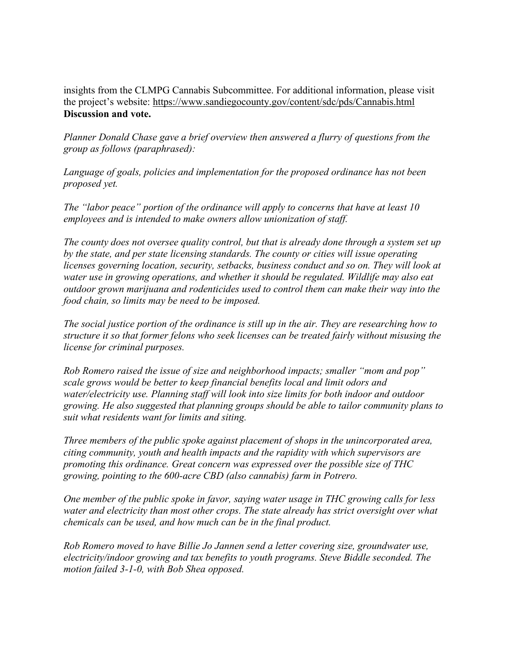insights from the CLMPG Cannabis Subcommittee. For additional information, please visit the project's website: https://www.sandiegocounty.gov/content/sdc/pds/Cannabis.html **Discussion and vote.**

*Planner Donald Chase gave a brief overview then answered a flurry of questions from the group as follows (paraphrased):*

*Language of goals, policies and implementation for the proposed ordinance has not been proposed yet.*

*The "labor peace" portion of the ordinance will apply to concerns that have at least 10 employees and is intended to make owners allow unionization of staff.*

*The county does not oversee quality control, but that is already done through a system set up by the state, and per state licensing standards. The county or cities will issue operating licenses governing location, security, setbacks, business conduct and so on. They will look at water use in growing operations, and whether it should be regulated. Wildlife may also eat outdoor grown marijuana and rodenticides used to control them can make their way into the food chain, so limits may be need to be imposed.*

*The social justice portion of the ordinance is still up in the air. They are researching how to structure it so that former felons who seek licenses can be treated fairly without misusing the license for criminal purposes.*

*Rob Romero raised the issue of size and neighborhood impacts; smaller "mom and pop" scale grows would be better to keep financial benefits local and limit odors and water/electricity use. Planning staff will look into size limits for both indoor and outdoor growing. He also suggested that planning groups should be able to tailor community plans to suit what residents want for limits and siting.*

*Three members of the public spoke against placement of shops in the unincorporated area, citing community, youth and health impacts and the rapidity with which supervisors are promoting this ordinance. Great concern was expressed over the possible size of THC growing, pointing to the 600-acre CBD (also cannabis) farm in Potrero.*

*One member of the public spoke in favor, saying water usage in THC growing calls for less water and electricity than most other crops. The state already has strict oversight over what chemicals can be used, and how much can be in the final product.*

*Rob Romero moved to have Billie Jo Jannen send a letter covering size, groundwater use, electricity/indoor growing and tax benefits to youth programs. Steve Biddle seconded. The motion failed 3-1-0, with Bob Shea opposed.*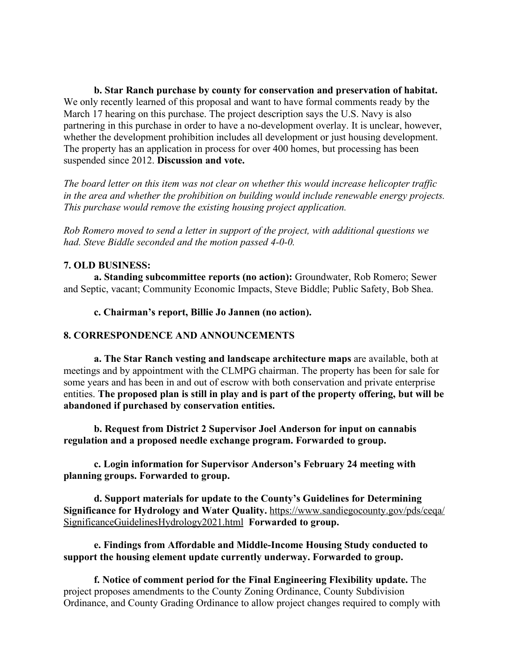**b. Star Ranch purchase by county for conservation and preservation of habitat.** We only recently learned of this proposal and want to have formal comments ready by the March 17 hearing on this purchase. The project description says the U.S. Navy is also partnering in this purchase in order to have a no-development overlay. It is unclear, however, whether the development prohibition includes all development or just housing development. The property has an application in process for over 400 homes, but processing has been suspended since 2012. **Discussion and vote.**

*The board letter on this item was not clear on whether this would increase helicopter traffic in the area and whether the prohibition on building would include renewable energy projects. This purchase would remove the existing housing project application.*

*Rob Romero moved to send a letter in support of the project, with additional questions we had. Steve Biddle seconded and the motion passed 4-0-0.*

### **7. OLD BUSINESS:**

**a. Standing subcommittee reports (no action):** Groundwater, Rob Romero; Sewer and Septic, vacant; Community Economic Impacts, Steve Biddle; Public Safety, Bob Shea.

**c. Chairman's report, Billie Jo Jannen (no action).**

#### **8. CORRESPONDENCE AND ANNOUNCEMENTS**

**a. The Star Ranch vesting and landscape architecture maps** are available, both at meetings and by appointment with the CLMPG chairman. The property has been for sale for some years and has been in and out of escrow with both conservation and private enterprise entities. **The proposed plan is still in play and is part of the property offering, but will be abandoned if purchased by conservation entities.**

**b. Request from District 2 Supervisor Joel Anderson for input on cannabis regulation and a proposed needle exchange program. Forwarded to group.**

**c. Login information for Supervisor Anderson's February 24 meeting with planning groups. Forwarded to group.**

**d. Support materials for update to the County's Guidelines for Determining Significance for Hydrology and Water Quality.** https://www.sandiegocounty.gov/pds/ceqa/ SignificanceGuidelinesHydrology2021.html **Forwarded to group.**

**e. Findings from Affordable and Middle-Income Housing Study conducted to support the housing element update currently underway. Forwarded to group.**

**f. Notice of comment period for the Final Engineering Flexibility update.** The project proposes amendments to the County Zoning Ordinance, County Subdivision Ordinance, and County Grading Ordinance to allow project changes required to comply with